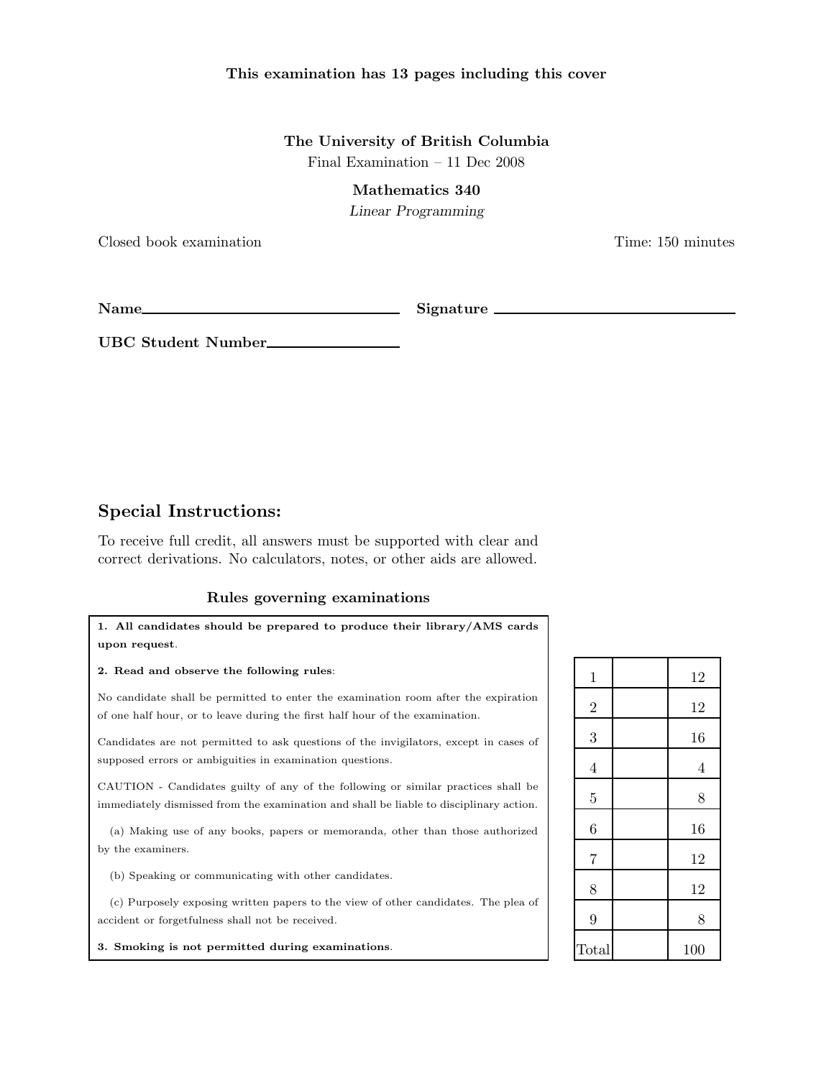#### This examination has 13 pages including this cover

## The University of British Columbia Final Examination – 11 Dec 2008

#### Mathematics 340

Linear Programming

Closed book examination Time: 150 minutes

Name Signature

UBC Student Number

# Special Instructions:

To receive full credit, all answers must be supported with clear and correct derivations. No calculators, notes, or other aids are allowed.

### Rules governing examinations

| 1. All candidates should be prepared to produce their library/AMS cards                                                                                                     |  |  |  |
|-----------------------------------------------------------------------------------------------------------------------------------------------------------------------------|--|--|--|
| upon request.                                                                                                                                                               |  |  |  |
| 2. Read and observe the following rules:                                                                                                                                    |  |  |  |
| No candidate shall be permitted to enter the examination room after the expiration<br>of one half hour, or to leave during the first half hour of the examination.          |  |  |  |
| Candidates are not permitted to ask questions of the invigilators, except in cases of<br>supposed errors or ambiguities in examination questions.                           |  |  |  |
| CAUTION - Candidates guilty of any of the following or similar practices shall be<br>immediately dismissed from the examination and shall be liable to disciplinary action. |  |  |  |
| (a) Making use of any books, papers or memoranda, other than those authorized<br>by the examiners.                                                                          |  |  |  |
| (b) Speaking or communicating with other candidates.                                                                                                                        |  |  |  |
| (c) Purposely exposing written papers to the view of other candidates. The plea of<br>accident or forgetfulness shall not be received.                                      |  |  |  |

3. Smoking is not permitted during examinations.

| $\mathbf 1$    | 12             |
|----------------|----------------|
| $\overline{2}$ | 12             |
| 3              | 16             |
| $\overline{4}$ | $\overline{4}$ |
| $\overline{5}$ | 8              |
| 6              | 16             |
| $\overline{7}$ | 12             |
| 8              | 12             |
| 9              | 8              |
| Total          | 100            |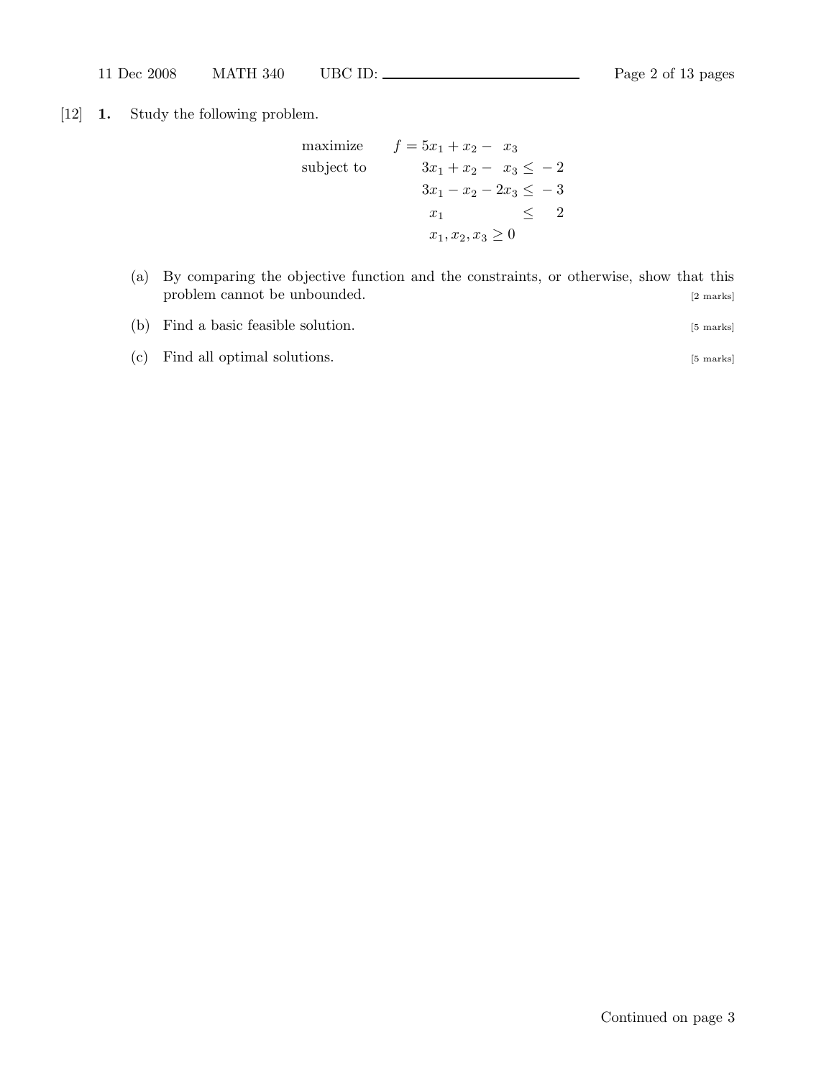[12] 1. Study the following problem.

maximize 
$$
f = 5x_1 + x_2 - x_3
$$
  
\nsubject to  $3x_1 + x_2 - x_3 \le -2$   
\n $3x_1 - x_2 - 2x_3 \le -3$   
\n $x_1 \le 2$   
\n $x_1, x_2, x_3 \ge 0$ 

| (a) By comparing the objective function and the constraints, or otherwise, show that this |  |  |           |
|-------------------------------------------------------------------------------------------|--|--|-----------|
| problem cannot be unbounded.                                                              |  |  | [2 marks] |

| (b) Find a basic feasible solution. | [5 marks] |
|-------------------------------------|-----------|
|-------------------------------------|-----------|

(c) Find all optimal solutions. [5 marks]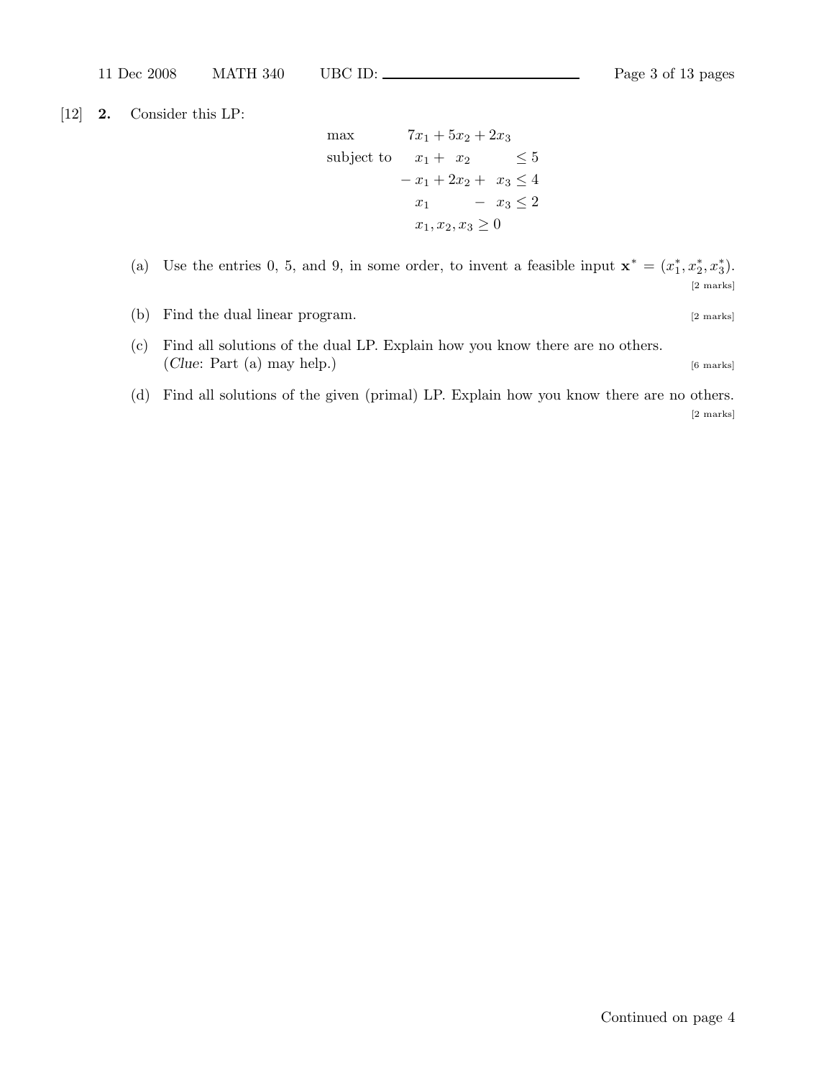[12] 2. Consider this LP:

max  $7x_1 + 5x_2 + 2x_3$ subject to  $x_1 + x_2 \leq 5$  $-x_1 + 2x_2 + x_3 \leq 4$  $x_1$  −  $x_3 \leq 2$  $x_1, x_2, x_3 \geq 0$ 

(a) Use the entries 0, 5, and 9, in some order, to invent a feasible input  $\mathbf{x}^* = (x_1^*)$  $_{1}^{*},x_{2}^{*}$  $_{2}^{\ast},x_{3}^{\ast}$  $_{3}^{*}$ ). [2 marks]

- (b) Find the dual linear program. [2 marks]
- (c) Find all solutions of the dual LP. Explain how you know there are no others. (Clue: Part (a) may help.)  $[6 \text{ marks}]$
- (d) Find all solutions of the given (primal) LP. Explain how you know there are no others. [2 marks]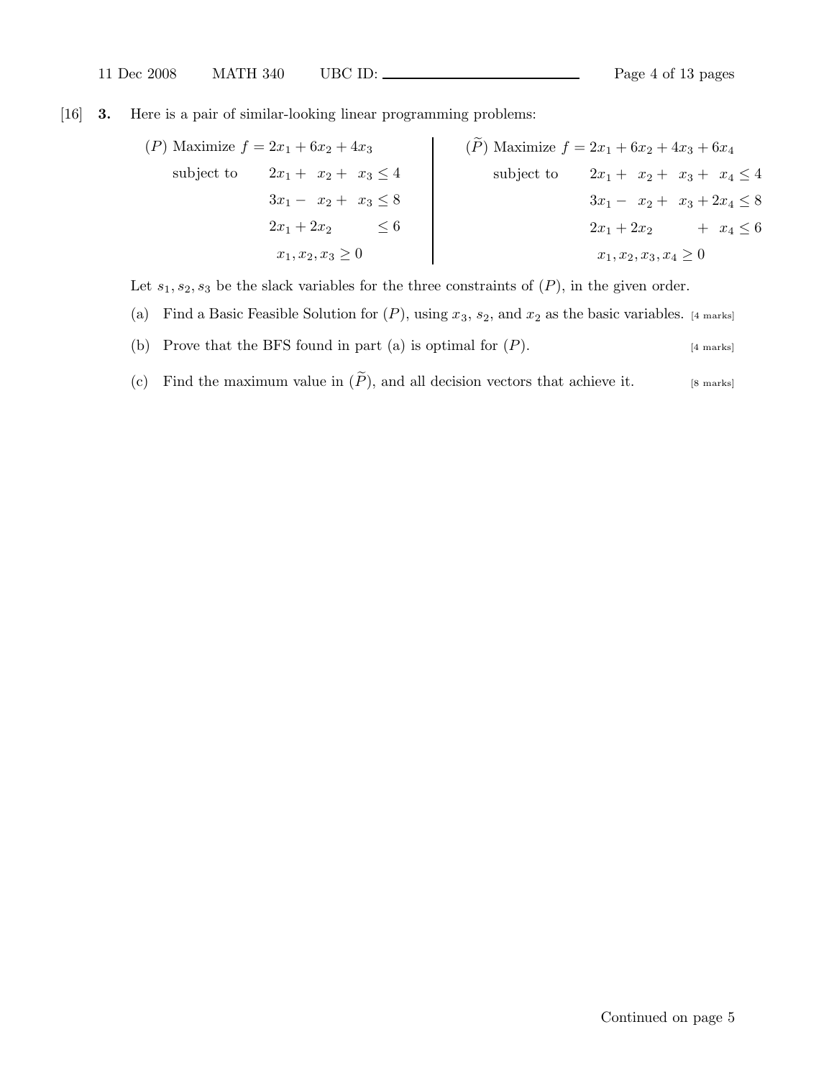[16] 3. Here is a pair of similar-looking linear programming problems:

$$
(P) \text{ Maximize } f = 2x_1 + 6x_2 + 4x_3
$$
  
\nsubject to  $2x_1 + x_2 + x_3 \le 4$   
\n $3x_1 - x_2 + x_3 \le 8$   
\n $2x_1 + 2x_2 \le 6$   
\n $x_1, x_2, x_3 \ge 0$   
\n $\left(\begin{array}{c}\n\widetilde{P}\n\end{array}\right) \text{ Maximize } f = 2x_1 + 6x_2 + 4x_3 + 6x_4$   
\nsubject to  $2x_1 + x_2 + x_3 + x_4 \le 4$   
\n $3x_1 - x_2 + x_3 + 2x_4 \le 8$   
\n $2x_1 + 2x_2 + x_3 + 2x_4 \le 6$   
\n $x_1, x_2, x_3, x_4 \ge 0$ 

Let  $s_1, s_2, s_3$  be the slack variables for the three constraints of  $(P)$ , in the given order.

- (a) Find a Basic Feasible Solution for  $(P)$ , using  $x_3$ ,  $s_2$ , and  $x_2$  as the basic variables. [4 marks]
- (b) Prove that the BFS found in part (a) is optimal for  $(P)$ . [4 marks]
- (c) Find the maximum value in  $(\widetilde{P})$ , and all decision vectors that achieve it. [8 marks]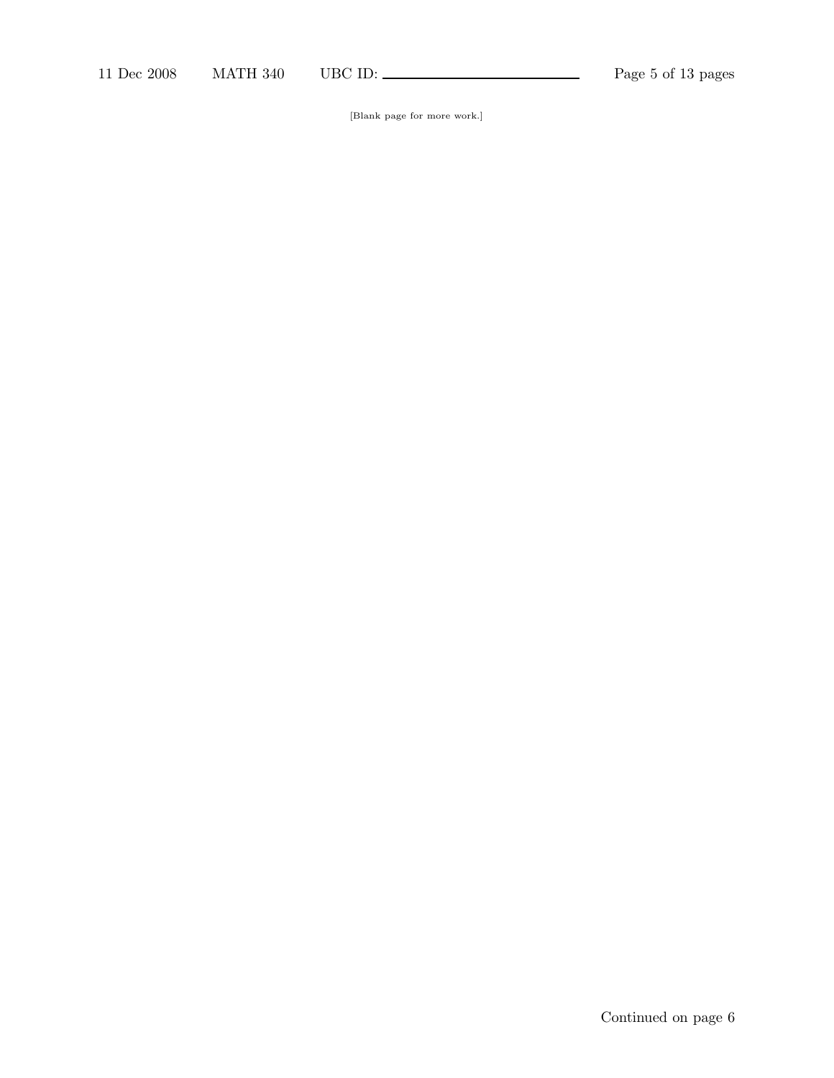[Blank page for more work.]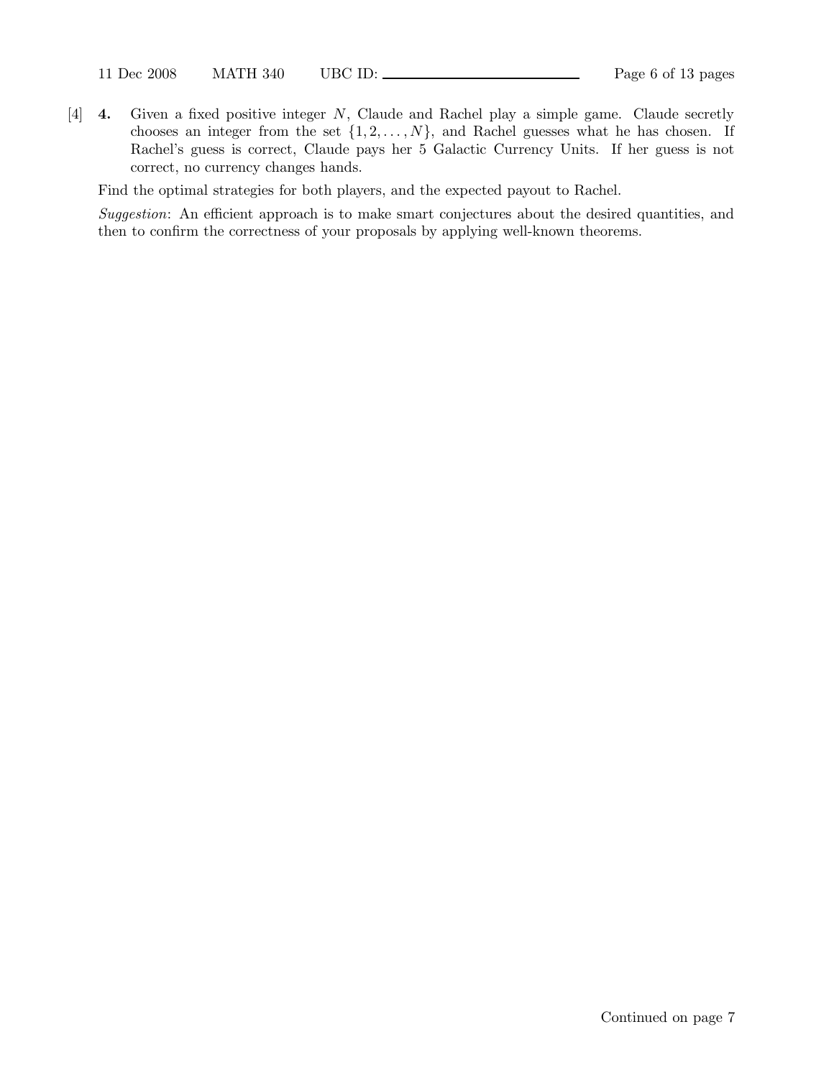[4] 4. Given a fixed positive integer N, Claude and Rachel play a simple game. Claude secretly chooses an integer from the set  $\{1, 2, ..., N\}$ , and Rachel guesses what he has chosen. If Rachel's guess is correct, Claude pays her 5 Galactic Currency Units. If her guess is not correct, no currency changes hands.

Find the optimal strategies for both players, and the expected payout to Rachel.

Suggestion: An efficient approach is to make smart conjectures about the desired quantities, and then to confirm the correctness of your proposals by applying well-known theorems.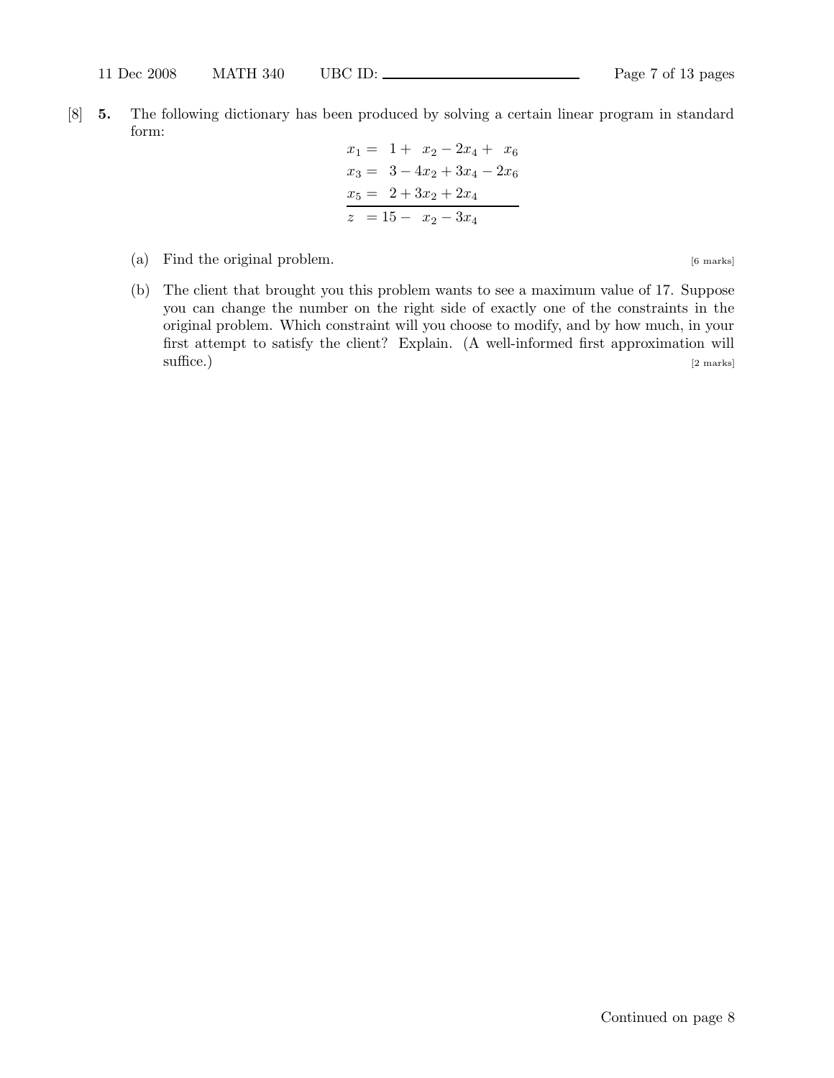[8] 5. The following dictionary has been produced by solving a certain linear program in standard form:

$$
x_1 = 1 + x_2 - 2x_4 + x_6
$$
  
\n
$$
x_3 = 3 - 4x_2 + 3x_4 - 2x_6
$$
  
\n
$$
x_5 = 2 + 3x_2 + 2x_4
$$
  
\n
$$
z = 15 - x_2 - 3x_4
$$

- (a) Find the original problem. [6 marks]
- (b) The client that brought you this problem wants to see a maximum value of 17. Suppose you can change the number on the right side of exactly one of the constraints in the original problem. Which constraint will you choose to modify, and by how much, in your first attempt to satisfy the client? Explain. (A well-informed first approximation will  $\text{surface}$ .) [2 marks]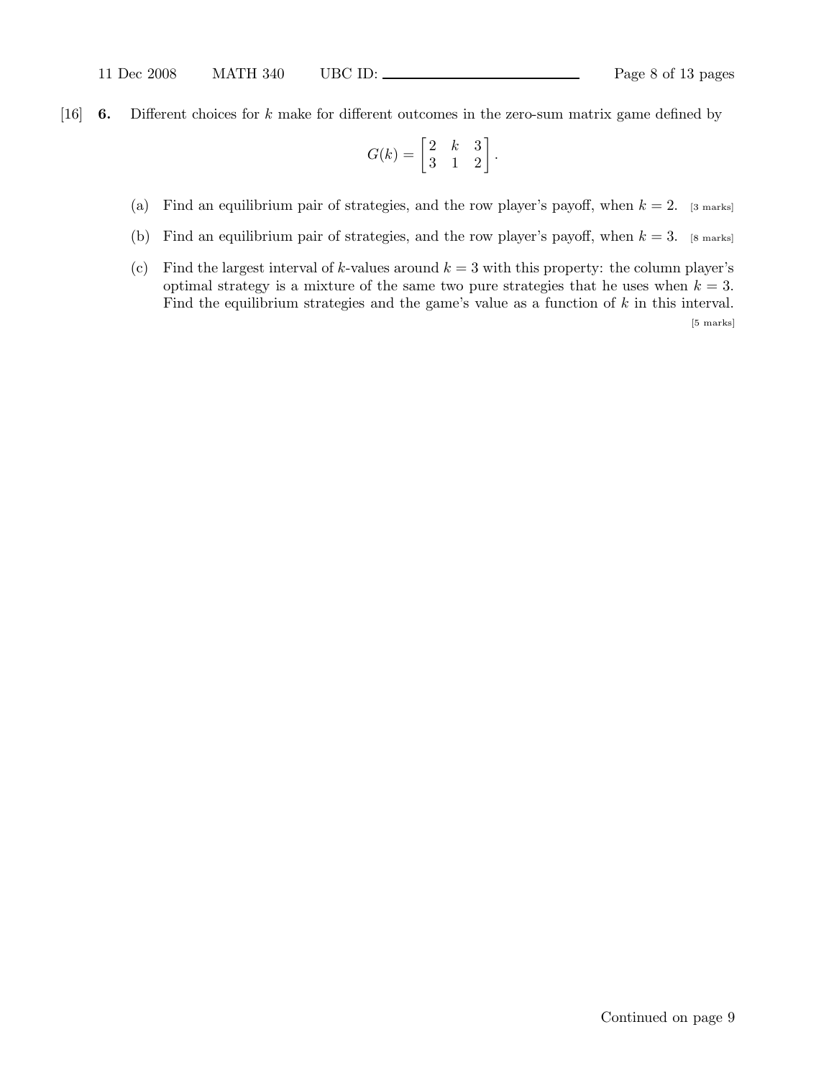[16] 6. Different choices for k make for different outcomes in the zero-sum matrix game defined by

$$
G(k) = \begin{bmatrix} 2 & k & 3 \\ 3 & 1 & 2 \end{bmatrix}.
$$

- (a) Find an equilibrium pair of strategies, and the row player's payoff, when  $k = 2$ . [3 marks]
- (b) Find an equilibrium pair of strategies, and the row player's payoff, when  $k = 3$ . [8 marks]
- (c) Find the largest interval of k-values around  $k = 3$  with this property: the column player's optimal strategy is a mixture of the same two pure strategies that he uses when  $k = 3$ . Find the equilibrium strategies and the game's value as a function of  $k$  in this interval. [5 marks]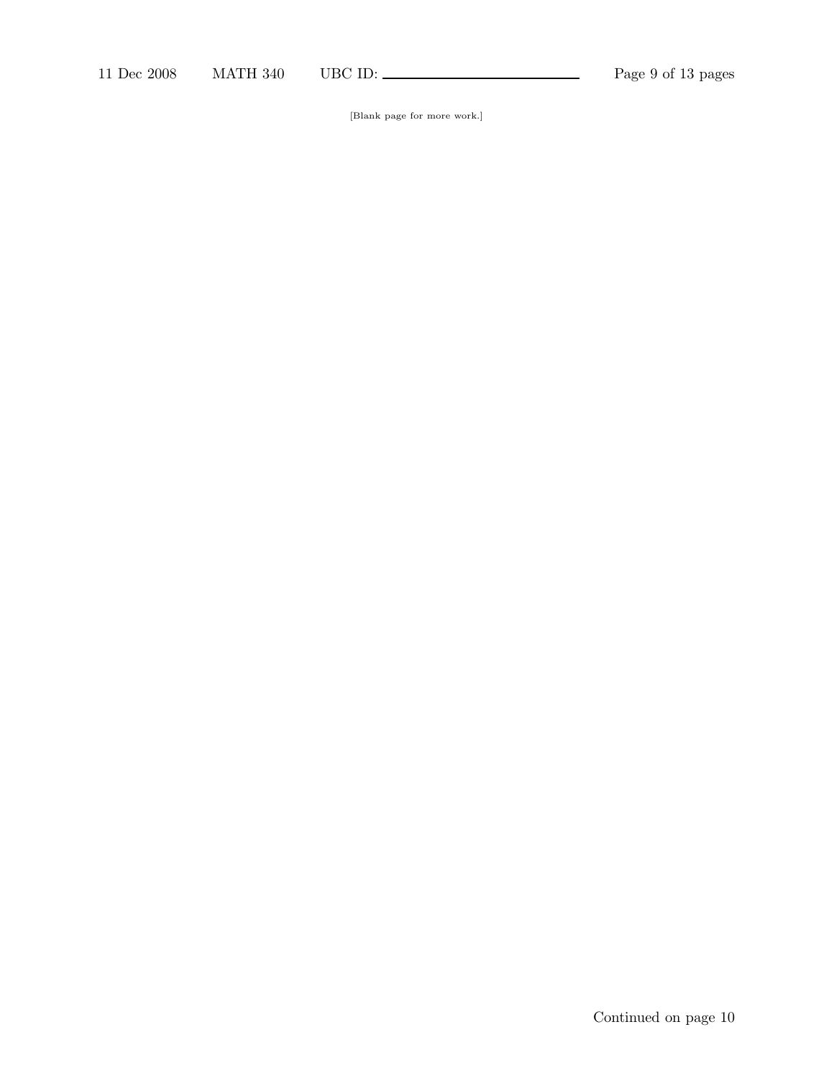[Blank page for more work.]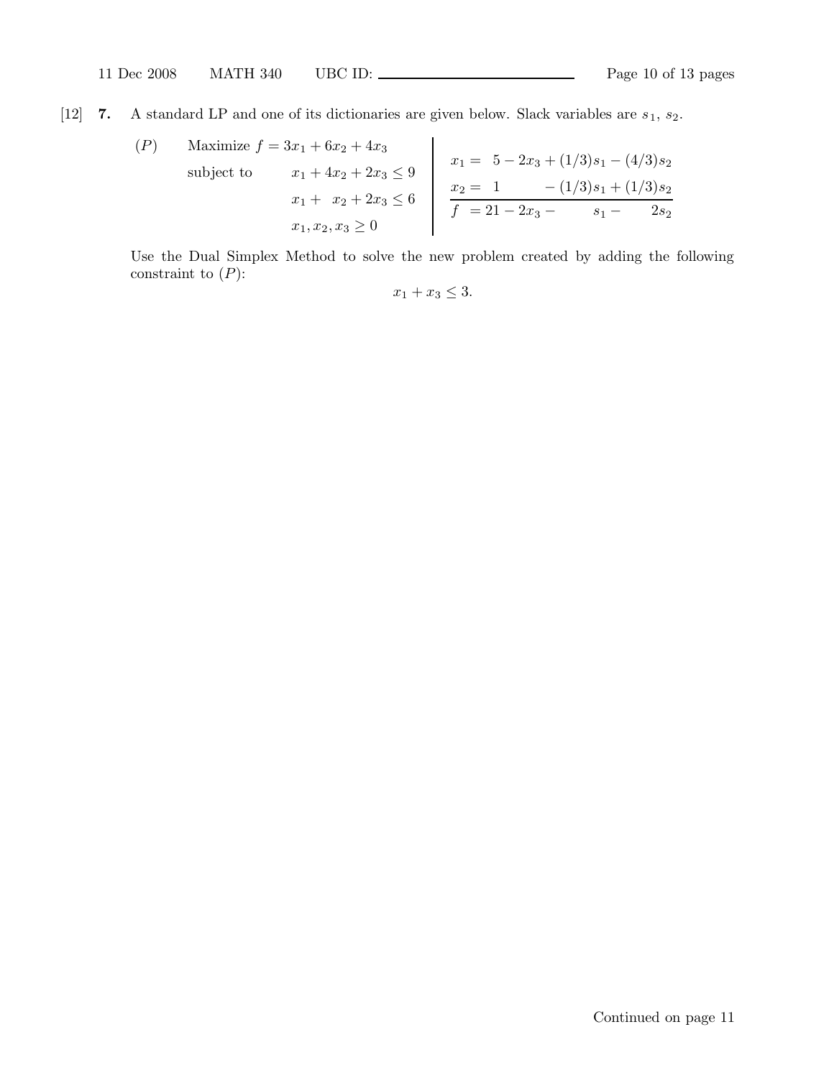[12] 7. A standard LP and one of its dictionaries are given below. Slack variables are  $s_1$ ,  $s_2$ .

$$
(P) \quad \text{Maximize } f = 3x_1 + 6x_2 + 4x_3
$$
\n
$$
\text{subject to} \quad\n\begin{aligned}\nx_1 + 4x_2 + 2x_3 &\le 9 \\
x_1 + x_2 + 2x_3 &\le 6\n\end{aligned}\n\quad\n\begin{aligned}\nx_1 &= 5 - 2x_3 + (1/3)s_1 - (4/3)s_2 \\
x_2 &= 1 - (1/3)s_1 + (1/3)s_2 \\
f &= 21 - 2x_3 - s_1 - 2s_2\n\end{aligned}
$$

Use the Dual Simplex Method to solve the new problem created by adding the following constraint to  $(P)$ :

 $x_1 + x_3 \leq 3.$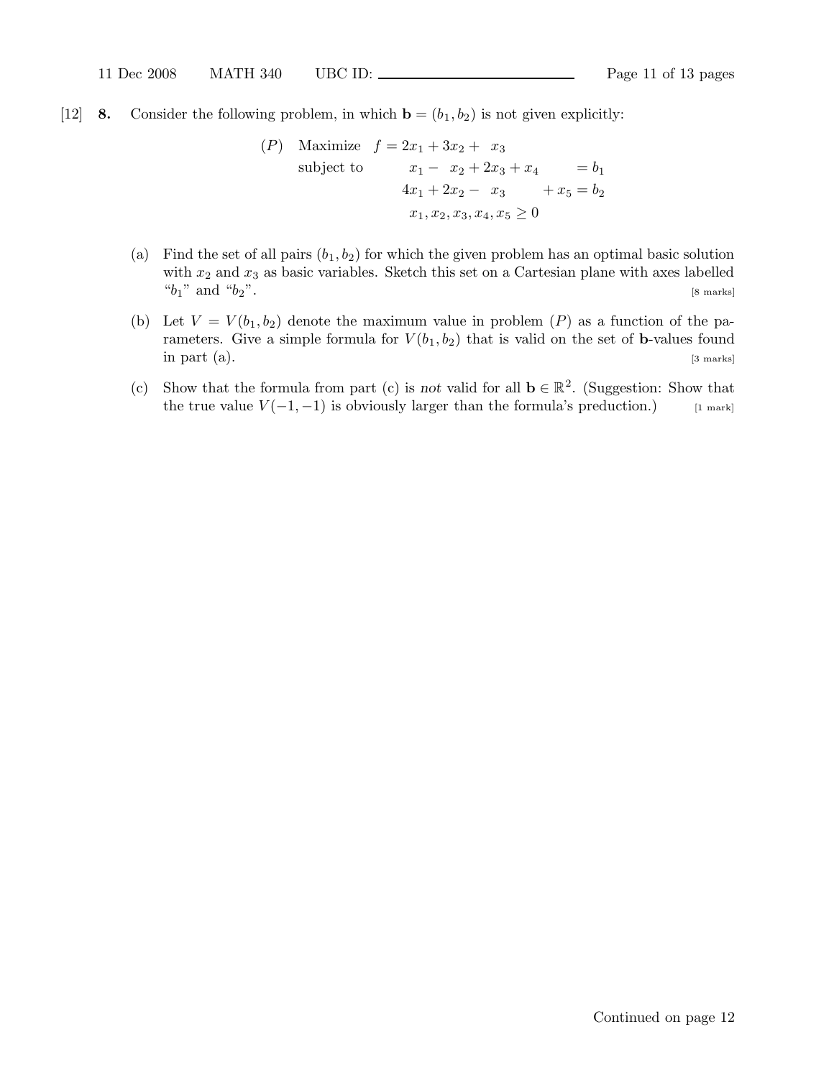[12] 8. Consider the following problem, in which  $\mathbf{b} = (b_1, b_2)$  is not given explicitly:

$$
(P) \quad \text{Maximize} \quad f = 2x_1 + 3x_2 + x_3
$$
\n
$$
\text{subject to} \quad\n\begin{aligned}\nx_1 - x_2 + 2x_3 + x_4 &= b_1 \\
4x_1 + 2x_2 - x_3 &+ x_5 &= b_2 \\
x_1, x_2, x_3, x_4, x_5 &\geq 0\n\end{aligned}
$$

- (a) Find the set of all pairs  $(b_1, b_2)$  for which the given problem has an optimal basic solution with  $x_2$  and  $x_3$  as basic variables. Sketch this set on a Cartesian plane with axes labelled  $"b_1"$  and  $"b_2"$ . [8 marks]
- (b) Let  $V = V(b_1, b_2)$  denote the maximum value in problem  $(P)$  as a function of the parameters. Give a simple formula for  $V(b_1, b_2)$  that is valid on the set of **b**-values found in part (a). [3 marks]
- (c) Show that the formula from part (c) is not valid for all  $\mathbf{b} \in \mathbb{R}^2$ . (Suggestion: Show that the true value  $V(-1, -1)$  is obviously larger than the formula's preduction.) [1 mark]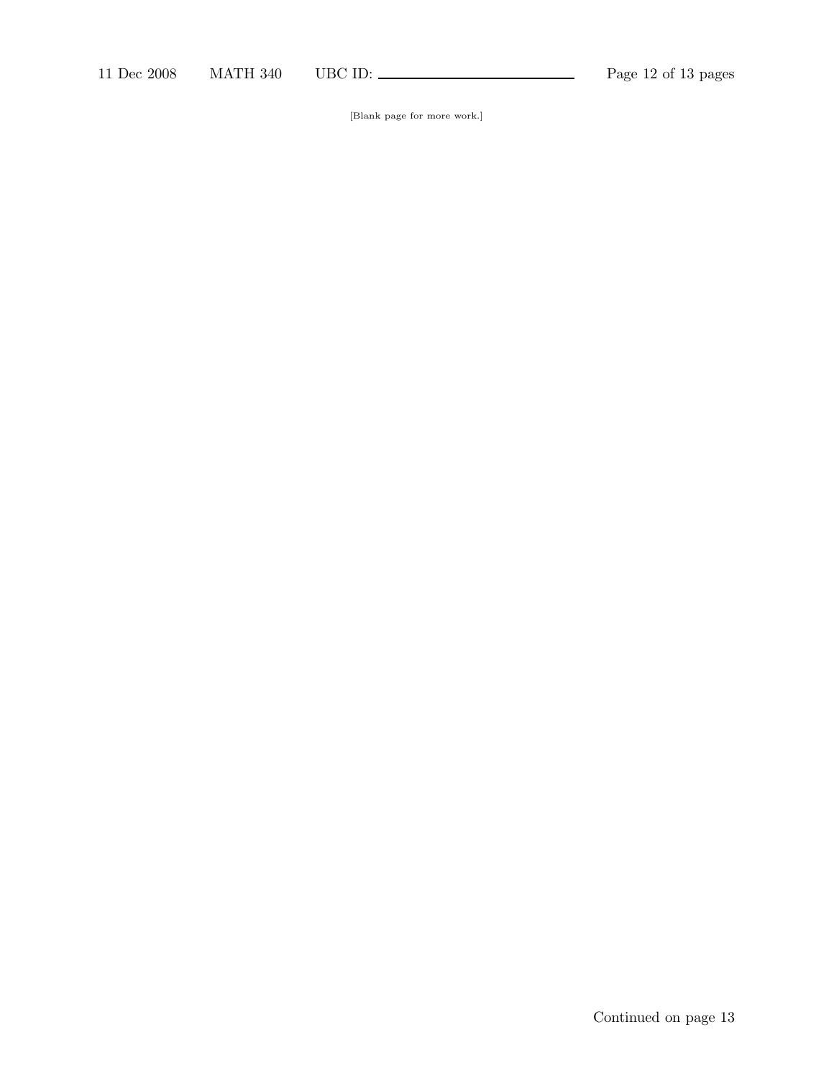[Blank page for more work.]